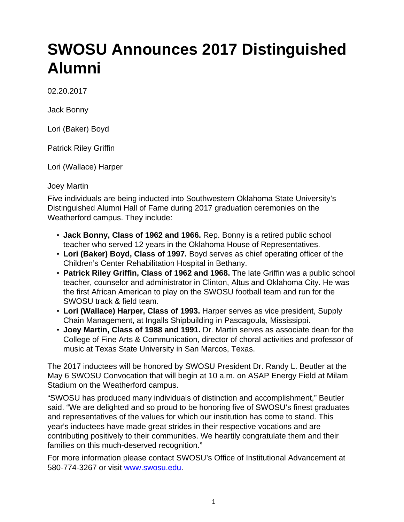## **SWOSU Announces 2017 Distinguished Alumni**

02.20.2017

Jack Bonny

Lori (Baker) Boyd

Patrick Riley Griffin

Lori (Wallace) Harper

## Joey Martin

Five individuals are being inducted into Southwestern Oklahoma State University's Distinguished Alumni Hall of Fame during 2017 graduation ceremonies on the Weatherford campus. They include:

- **Jack Bonny, Class of 1962 and 1966.** Rep. Bonny is a retired public school teacher who served 12 years in the Oklahoma House of Representatives.
- **Lori (Baker) Boyd, Class of 1997.** Boyd serves as chief operating officer of the Children's Center Rehabilitation Hospital in Bethany.
- **Patrick Riley Griffin, Class of 1962 and 1968.** The late Griffin was a public school teacher, counselor and administrator in Clinton, Altus and Oklahoma City. He was the first African American to play on the SWOSU football team and run for the SWOSU track & field team.
- **Lori (Wallace) Harper, Class of 1993.** Harper serves as vice president, Supply Chain Management, at Ingalls Shipbuilding in Pascagoula, Mississippi.
- **Joey Martin, Class of 1988 and 1991.** Dr. Martin serves as associate dean for the College of Fine Arts & Communication, director of choral activities and professor of music at Texas State University in San Marcos, Texas.

The 2017 inductees will be honored by SWOSU President Dr. Randy L. Beutler at the May 6 SWOSU Convocation that will begin at 10 a.m. on ASAP Energy Field at Milam Stadium on the Weatherford campus.

"SWOSU has produced many individuals of distinction and accomplishment," Beutler said. "We are delighted and so proud to be honoring five of SWOSU's finest graduates and representatives of the values for which our institution has come to stand. This year's inductees have made great strides in their respective vocations and are contributing positively to their communities. We heartily congratulate them and their families on this much-deserved recognition."

For more information please contact SWOSU's Office of Institutional Advancement at 580-774-3267 or visit [www.swosu.edu.](http://www.swosu.edu)